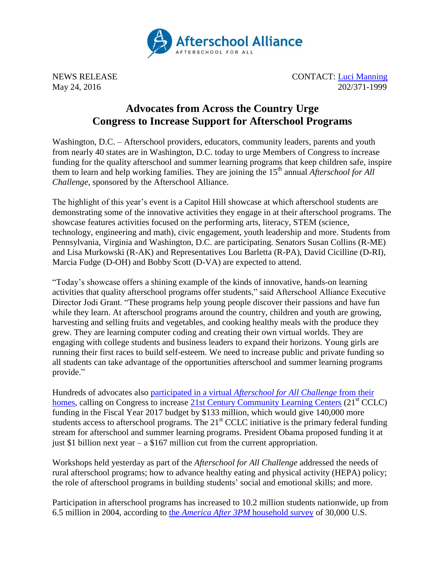

NEWS RELEASE CONTACT: [Luci Manning](mailto:luci@prsolutionsdc.com) May 24, 2016 202/371-1999

## **Advocates from Across the Country Urge Congress to Increase Support for Afterschool Programs**

Washington, D.C. – Afterschool providers, educators, community leaders, parents and youth from nearly 40 states are in Washington, D.C. today to urge Members of Congress to increase funding for the quality afterschool and summer learning programs that keep children safe, inspire them to learn and help working families. They are joining the 15<sup>th</sup> annual *Afterschool for All Challenge*, sponsored by the Afterschool Alliance.

The highlight of this year's event is a Capitol Hill showcase at which afterschool students are demonstrating some of the innovative activities they engage in at their afterschool programs. The showcase features activities focused on the performing arts, literacy, STEM (science, technology, engineering and math), civic engagement, youth leadership and more. Students from Pennsylvania, Virginia and Washington, D.C. are participating. Senators Susan Collins (R-ME) and Lisa Murkowski (R-AK) and Representatives Lou Barletta (R-PA), David Cicilline (D-RI), Marcia Fudge (D-OH) and Bobby Scott (D-VA) are expected to attend.

"Today's showcase offers a shining example of the kinds of innovative, hands-on learning activities that quality afterschool programs offer students," said Afterschool Alliance Executive Director Jodi Grant. "These programs help young people discover their passions and have fun while they learn. At afterschool programs around the country, children and youth are growing, harvesting and selling fruits and vegetables, and cooking healthy meals with the produce they grew. They are learning computer coding and creating their own virtual worlds. They are engaging with college students and business leaders to expand their horizons. Young girls are running their first races to build self-esteem. We need to increase public and private funding so all students can take advantage of the opportunities afterschool and summer learning programs provide."

Hundreds of advocates also [participated in a virtual](http://www.afterschoolalliance.org/challenge.cfm) *Afterschool for All Challenge* from their [homes](http://www.afterschoolalliance.org/challenge.cfm), calling on Congress to increase [21st Century Community Learning Centers](http://www.afterschoolalliance.org/policy21stcclc.cfm) (21<sup>st</sup> CCLC) funding in the Fiscal Year 2017 budget by \$133 million, which would give 140,000 more students access to afterschool programs. The  $21<sup>st</sup>$  CCLC initiative is the primary federal funding stream for afterschool and summer learning programs. President Obama proposed funding it at just \$1 billion next year – a \$167 million cut from the current appropriation.

Workshops held yesterday as part of the *Afterschool for All Challenge* addressed the needs of rural afterschool programs; how to advance healthy eating and physical activity (HEPA) policy; the role of afterschool programs in building students' social and emotional skills; and more.

Participation in afterschool programs has increased to 10.2 million students nationwide, up from 6.5 million in 2004, according to the *[America After 3PM](http://www.afterschoolalliance.org/AA3PM/)* household survey of 30,000 U.S.